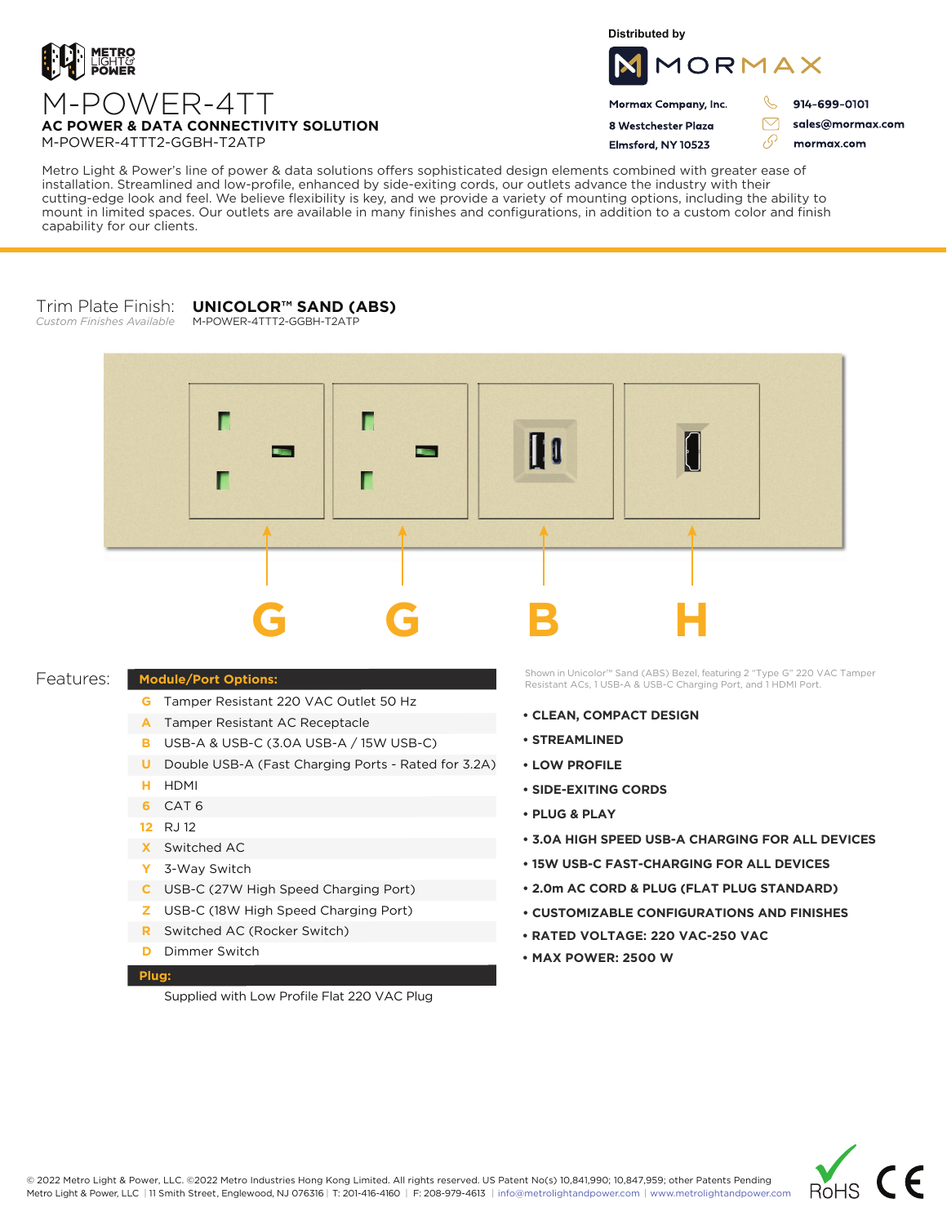

**Distributed by**



 $\triangledown$ 

76

Mormax Company, Inc. 8 Westchester Plaza

Flmsford, NY 10523

914-699-0101

sales@mormax.com mormax.com

**AC POWER & DATA CONNECTIVITY SOLUTION** M-POWER-4TTT2-GGBH-T2ATP

M-POWER-4TT

Metro Light & Power's line of power & data solutions offers sophisticated design elements combined with greater ease of installation. Streamlined and low-profile, enhanced by side-exiting cords, our outlets advance the industry with their cutting-edge look and feel. We believe flexibility is key, and we provide a variety of mounting options, including the ability to mount in limited spaces. Our outlets are available in many finishes and configurations, in addition to a custom color and finish capability for our clients.

## Trim Plate Finish: *Custom Finishes Available* **UNICOLOR™ SAND (ABS)**

M-POWER-4TTT2-GGBH-T2ATP



## Features:

- **Module/Port Options:**
	- **G** Tamper Resistant 220 VAC Outlet 50 Hz
	- A Tamper Resistant AC Receptacle
	- USB-A & USB-C (3.0A USB-A / 15W USB-C) **B**
	- U Double USB-A (Fast Charging Ports Rated for 3.2A)
	- HDMI **H**
	- CAT 6 **6**
	- 12 RJ 12
	- Switched AC **X**
	- 3-Way Switch **Y**
	- USB-C (27W High Speed Charging Port) **C**
	- USB-C (18W High Speed Charging Port) **Z**
	- Switched AC (Rocker Switch) **R**
	- **D** Dimmer Switch

## **Plug:**

Supplied with Low Profile Flat 220 VAC Plug

Shown in Unicolor™ Sand (ABS) Bezel, featuring 2 "Type G" 220 VAC Tamper Resistant ACs, 1 USB-A & USB-C Charging Port, and 1 HDMI Port.

- **CLEAN, COMPACT DESIGN**
- **STREAMLINED**
- **LOW PROFILE**
- **SIDE-EXITING CORDS**
- **PLUG & PLAY**
- **3.0A HIGH SPEED USB-A CHARGING FOR ALL DEVICES**
- **15W USB-C FAST-CHARGING FOR ALL DEVICES**
- **2.0m AC CORD & PLUG (FLAT PLUG STANDARD)**
- **CUSTOMIZABLE CONFIGURATIONS AND FINISHES**
- **• RATED VOLTAGE: 220 VAC-250 VAC**
- **MAX POWER: 2500 W**